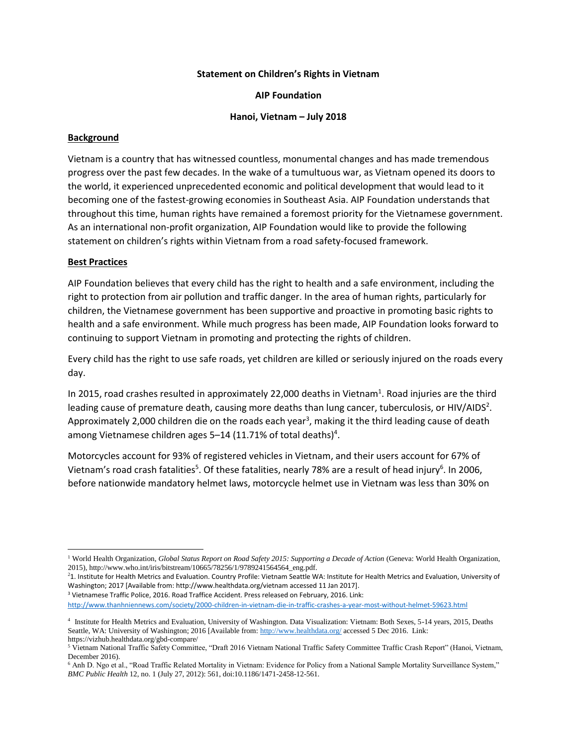## **Statement on Children's Rights in Vietnam**

**AIP Foundation**

**Hanoi, Vietnam – July 2018**

## **Background**

Vietnam is a country that has witnessed countless, monumental changes and has made tremendous progress over the past few decades. In the wake of a tumultuous war, as Vietnam opened its doors to the world, it experienced unprecedented economic and political development that would lead to it becoming one of the fastest-growing economies in Southeast Asia. AIP Foundation understands that throughout this time, human rights have remained a foremost priority for the Vietnamese government. As an international non-profit organization, AIP Foundation would like to provide the following statement on children's rights within Vietnam from a road safety-focused framework.

## **Best Practices**

 $\overline{a}$ 

AIP Foundation believes that every child has the right to health and a safe environment, including the right to protection from air pollution and traffic danger. In the area of human rights, particularly for children, the Vietnamese government has been supportive and proactive in promoting basic rights to health and a safe environment. While much progress has been made, AIP Foundation looks forward to continuing to support Vietnam in promoting and protecting the rights of children.

Every child has the right to use safe roads, yet children are killed or seriously injured on the roads every day.

In 2015, road crashes resulted in approximately 22,000 deaths in Vietnam<sup>1</sup>. Road injuries are the third leading cause of premature death, causing more deaths than lung cancer, tuberculosis, or HIV/AIDS<sup>2</sup>. Approximately 2,000 children die on the roads each year<sup>3</sup>, making it the third leading cause of death among Vietnamese children ages 5–14 (11.71% of total deaths)<sup>4</sup>.

Motorcycles account for 93% of registered vehicles in Vietnam, and their users account for 67% of Vietnam's road crash fatalities<sup>5</sup>. Of these fatalities, nearly 78% are a result of head injury<sup>6</sup>. In 2006, before nationwide mandatory helmet laws, motorcycle helmet use in Vietnam was less than 30% on

<sup>2</sup>1. Institute for Health Metrics and Evaluation. Country Profile: Vietnam Seattle WA: Institute for Health Metrics and Evaluation, University of Washington; 2017 [Available from: http://www.healthdata.org/vietnam accessed 11 Jan 2017].

<sup>3</sup> Vietnamese Traffic Police, 2016. Road Traffice Accident. Press released on February, 2016. Link:

<http://www.thanhniennews.com/society/2000-children-in-vietnam-die-in-traffic-crashes-a-year-most-without-helmet-59623.html>

<sup>&</sup>lt;sup>1</sup> World Health Organization, *Global Status Report on Road Safety 2015: Supporting a Decade of Action* (Geneva: World Health Organization, 2015), http://www.who.int/iris/bitstream/10665/78256/1/9789241564564\_eng.pdf.

<sup>4</sup> Institute for Health Metrics and Evaluation, University of Washington. Data Visualization: Vietnam: Both Sexes, 5-14 years, 2015, Deaths Seattle, WA: University of Washington; 2016 [Available from[: http://www.healthdata.org/](http://www.healthdata.org/) accessed 5 Dec 2016. Link: https://vizhub.healthdata.org/gbd-compare/

<sup>5</sup> Vietnam National Traffic Safety Committee, "Draft 2016 Vietnam National Traffic Safety Committee Traffic Crash Report" (Hanoi, Vietnam, December 2016).

<sup>&</sup>lt;sup>6</sup> Anh D. Ngo et al., "Road Traffic Related Mortality in Vietnam: Evidence for Policy from a National Sample Mortality Surveillance System," *BMC Public Health* 12, no. 1 (July 27, 2012): 561, doi:10.1186/1471-2458-12-561.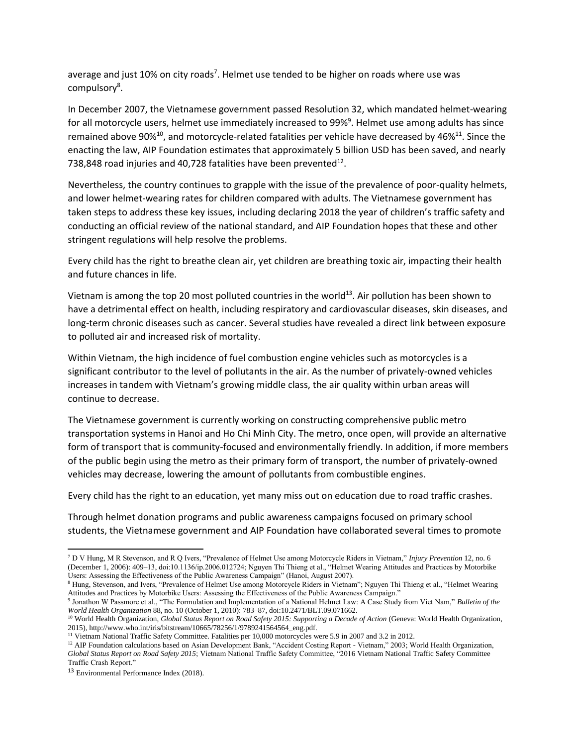average and just 10% on city roads<sup>7</sup>. Helmet use tended to be higher on roads where use was compulsory<sup>8</sup>.

In December 2007, the Vietnamese government passed Resolution 32, which mandated helmet-wearing for all motorcycle users, helmet use immediately increased to 99%<sup>9</sup>. Helmet use among adults has since remained above 90% $^{10}$ , and motorcycle-related fatalities per vehicle have decreased by 46% $^{11}$ . Since the enacting the law, AIP Foundation estimates that approximately 5 billion USD has been saved, and nearly 738,848 road injuries and 40,728 fatalities have been prevented $^{12}$ .

Nevertheless, the country continues to grapple with the issue of the prevalence of poor-quality helmets, and lower helmet-wearing rates for children compared with adults. The Vietnamese government has taken steps to address these key issues, including declaring 2018 the year of children's traffic safety and conducting an official review of the national standard, and AIP Foundation hopes that these and other stringent regulations will help resolve the problems.

Every child has the right to breathe clean air, yet children are breathing toxic air, impacting their health and future chances in life.

Vietnam is among the top 20 most polluted countries in the world<sup>13</sup>. Air pollution has been shown to have a detrimental effect on health, including respiratory and cardiovascular diseases, skin diseases, and long-term chronic diseases such as cancer. Several studies have revealed a direct link between exposure to polluted air and increased risk of mortality.

Within Vietnam, the high incidence of fuel combustion engine vehicles such as motorcycles is a significant contributor to the level of pollutants in the air. As the number of privately-owned vehicles increases in tandem with Vietnam's growing middle class, the air quality within urban areas will continue to decrease.

The Vietnamese government is currently working on constructing comprehensive public metro transportation systems in Hanoi and Ho Chi Minh City. The metro, once open, will provide an alternative form of transport that is community-focused and environmentally friendly. In addition, if more members of the public begin using the metro as their primary form of transport, the number of privately-owned vehicles may decrease, lowering the amount of pollutants from combustible engines.

Every child has the right to an education, yet many miss out on education due to road traffic crashes.

Through helmet donation programs and public awareness campaigns focused on primary school students, the Vietnamese government and AIP Foundation have collaborated several times to promote

l <sup>7</sup> D V Hung, M R Stevenson, and R Q Ivers, "Prevalence of Helmet Use among Motorcycle Riders in Vietnam," *Injury Prevention* 12, no. 6 (December 1, 2006): 409–13, doi:10.1136/ip.2006.012724; Nguyen Thi Thieng et al., "Helmet Wearing Attitudes and Practices by Motorbike Users: Assessing the Effectiveness of the Public Awareness Campaign" (Hanoi, August 2007).

<sup>8</sup> Hung, Stevenson, and Ivers, "Prevalence of Helmet Use among Motorcycle Riders in Vietnam"; Nguyen Thi Thieng et al., "Helmet Wearing Attitudes and Practices by Motorbike Users: Assessing the Effectiveness of the Public Awareness Campaign."

<sup>9</sup> Jonathon W Passmore et al., "The Formulation and Implementation of a National Helmet Law: A Case Study from Viet Nam," *Bulletin of the World Health Organization* 88, no. 10 (October 1, 2010): 783–87, doi:10.2471/BLT.09.071662.

<sup>&</sup>lt;sup>10</sup> World Health Organization, *Global Status Report on Road Safety 2015: Supporting a Decade of Action* (Geneva: World Health Organization, 2015), http://www.who.int/iris/bitstream/10665/78256/1/9789241564564\_eng.pdf.

<sup>&</sup>lt;sup>11</sup> Vietnam National Traffic Safety Committee. Fatalities per 10,000 motorcycles were 5.9 in 2007 and 3.2 in 2012.

<sup>&</sup>lt;sup>12</sup> AIP Foundation calculations based on Asian Development Bank, "Accident Costing Report - Vietnam," 2003; World Health Organization, *Global Status Report on Road Safety 2015*; Vietnam National Traffic Safety Committee, "2016 Vietnam National Traffic Safety Committee Traffic Crash Report."

<sup>13</sup> Environmental Performance Index (2018).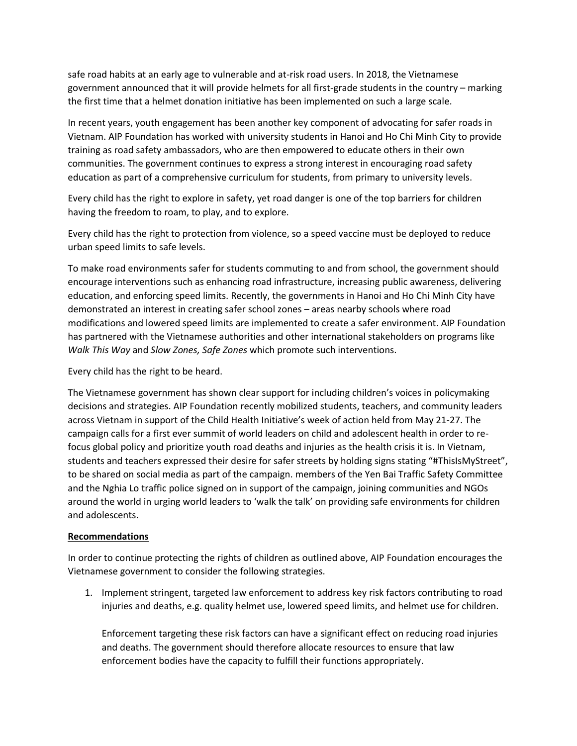safe road habits at an early age to vulnerable and at-risk road users. In 2018, the Vietnamese government announced that it will provide helmets for all first-grade students in the country – marking the first time that a helmet donation initiative has been implemented on such a large scale.

In recent years, youth engagement has been another key component of advocating for safer roads in Vietnam. AIP Foundation has worked with university students in Hanoi and Ho Chi Minh City to provide training as road safety ambassadors, who are then empowered to educate others in their own communities. The government continues to express a strong interest in encouraging road safety education as part of a comprehensive curriculum for students, from primary to university levels.

Every child has the right to explore in safety, yet road danger is one of the top barriers for children having the freedom to roam, to play, and to explore.

Every child has the right to protection from violence, so a speed vaccine must be deployed to reduce urban speed limits to safe levels.

To make road environments safer for students commuting to and from school, the government should encourage interventions such as enhancing road infrastructure, increasing public awareness, delivering education, and enforcing speed limits. Recently, the governments in Hanoi and Ho Chi Minh City have demonstrated an interest in creating safer school zones – areas nearby schools where road modifications and lowered speed limits are implemented to create a safer environment. AIP Foundation has partnered with the Vietnamese authorities and other international stakeholders on programs like *Walk This Way* and *Slow Zones, Safe Zones* which promote such interventions.

Every child has the right to be heard.

The Vietnamese government has shown clear support for including children's voices in policymaking decisions and strategies. AIP Foundation recently mobilized students, teachers, and community leaders across Vietnam in support of the Child Health Initiative's week of action held from May 21-27. The campaign calls for a first ever summit of world leaders on child and adolescent health in order to refocus global policy and prioritize youth road deaths and injuries as the health crisis it is. In Vietnam, students and teachers expressed their desire for safer streets by holding signs stating "#ThisIsMyStreet", to be shared on social media as part of the campaign. members of the Yen Bai Traffic Safety Committee and the Nghia Lo traffic police signed on in support of the campaign, joining communities and NGOs around the world in urging world leaders to 'walk the talk' on providing safe environments for children and adolescents.

## **Recommendations**

In order to continue protecting the rights of children as outlined above, AIP Foundation encourages the Vietnamese government to consider the following strategies.

1. Implement stringent, targeted law enforcement to address key risk factors contributing to road injuries and deaths, e.g. quality helmet use, lowered speed limits, and helmet use for children.

Enforcement targeting these risk factors can have a significant effect on reducing road injuries and deaths. The government should therefore allocate resources to ensure that law enforcement bodies have the capacity to fulfill their functions appropriately.